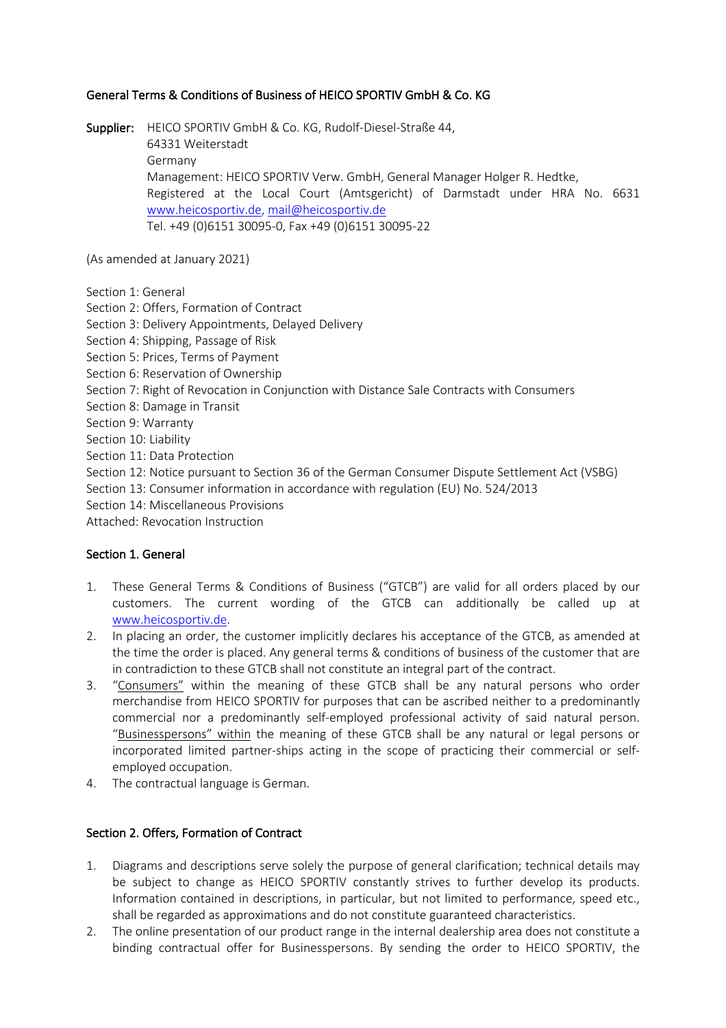# General Terms & Conditions of Business of HEICO SPORTIV GmbH & Co. KG

Supplier: HEICO SPORTIV GmbH & Co. KG, Rudolf-Diesel-Straße 44, 64331 Weiterstadt Germany Management: HEICO SPORTIV Verw. GmbH, General Manager Holger R. Hedtke, Registered at the Local Court (Amtsgericht) of Darmstadt under HRA No. 6631 www.heicosportiv.de, mail@heicosportiv.de Tel. +49 (0)6151 30095-0, Fax +49 (0)6151 30095-22

(As amended at January 2021)

Section 1: General

Section 2: Offers, Formation of Contract

Section 3: Delivery Appointments, Delayed Delivery

Section 4: Shipping, Passage of Risk

Section 5: Prices, Terms of Payment

Section 6: Reservation of Ownership

Section 7: Right of Revocation in Conjunction with Distance Sale Contracts with Consumers

Section 8: Damage in Transit

Section 9: Warranty

Section 10: Liability

Section 11: Data Protection

Section 12: Notice pursuant to Section 36 of the German Consumer Dispute Settlement Act (VSBG)

Section 13: Consumer information in accordance with regulation (EU) No. 524/2013

Section 14: Miscellaneous Provisions

Attached: Revocation Instruction

# Section 1. General

- 1. These General Terms & Conditions of Business ("GTCB") are valid for all orders placed by our customers. The current wording of the GTCB can additionally be called up at www.heicosportiv.de.
- 2. In placing an order, the customer implicitly declares his acceptance of the GTCB, as amended at the time the order is placed. Any general terms & conditions of business of the customer that are in contradiction to these GTCB shall not constitute an integral part of the contract.
- 3. "Consumers" within the meaning of these GTCB shall be any natural persons who order merchandise from HEICO SPORTIV for purposes that can be ascribed neither to a predominantly commercial nor a predominantly self-employed professional activity of said natural person. "Businesspersons" within the meaning of these GTCB shall be any natural or legal persons or incorporated limited partner-ships acting in the scope of practicing their commercial or selfemployed occupation.
- 4. The contractual language is German.

# Section 2. Offers, Formation of Contract

- 1. Diagrams and descriptions serve solely the purpose of general clarification; technical details may be subject to change as HEICO SPORTIV constantly strives to further develop its products. Information contained in descriptions, in particular, but not limited to performance, speed etc., shall be regarded as approximations and do not constitute guaranteed characteristics.
- 2. The online presentation of our product range in the internal dealership area does not constitute a binding contractual offer for Businesspersons. By sending the order to HEICO SPORTIV, the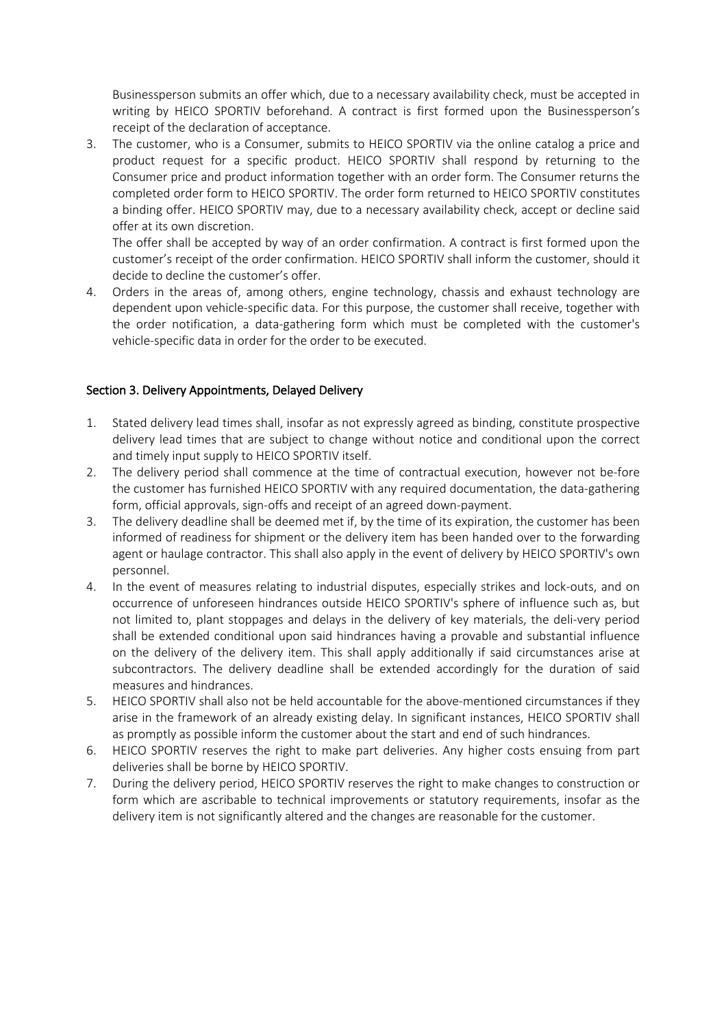Businessperson submits an offer which, due to a necessary availability check, must be accepted in writing by HEICO SPORTIV beforehand. A contract is first formed upon the Businessperson's receipt of the declaration of acceptance.

3. The customer, who is a Consumer, submits to HEICO SPORTIV via the online catalog a price and product request for a specific product. HEICO SPORTIV shall respond by returning to the Consumer price and product information together with an order form. The Consumer returns the completed order form to HEICO SPORTIV. The order form returned to HEICO SPORTIV constitutes a binding offer. HEICO SPORTIV may, due to a necessary availability check, accept or decline said offer at its own discretion.

The offer shall be accepted by way of an order confirmation. A contract is first formed upon the customer's receipt of the order confirmation. HEICO SPORTIV shall inform the customer, should it decide to decline the customer's offer.

4. Orders in the areas of, among others, engine technology, chassis and exhaust technology are dependent upon vehicle-specific data. For this purpose, the customer shall receive, together with the order notification, a data-gathering form which must be completed with the customer's vehicle-specific data in order for the order to be executed.

### Section 3. Delivery Appointments, Delayed Delivery

- 1. Stated delivery lead times shall, insofar as not expressly agreed as binding, constitute prospective delivery lead times that are subject to change without notice and conditional upon the correct and timely input supply to HEICO SPORTIV itself.
- 2. The delivery period shall commence at the time of contractual execution, however not be-fore the customer has furnished HEICO SPORTIV with any required documentation, the data-gathering form, official approvals, sign-offs and receipt of an agreed down-payment.
- 3. The delivery deadline shall be deemed met if, by the time of its expiration, the customer has been informed of readiness for shipment or the delivery item has been handed over to the forwarding agent or haulage contractor. This shall also apply in the event of delivery by HEICO SPORTIV's own personnel.
- 4. In the event of measures relating to industrial disputes, especially strikes and lock-outs, and on occurrence of unforeseen hindrances outside HEICO SPORTIV's sphere of influence such as, but not limited to, plant stoppages and delays in the delivery of key materials, the deli-very period shall be extended conditional upon said hindrances having a provable and substantial influence on the delivery of the delivery item. This shall apply additionally if said circumstances arise at subcontractors. The delivery deadline shall be extended accordingly for the duration of said measures and hindrances.
- 5. HEICO SPORTIV shall also not be held accountable for the above-mentioned circumstances if they arise in the framework of an already existing delay. In significant instances, HEICO SPORTIV shall as promptly as possible inform the customer about the start and end of such hindrances.
- 6. HEICO SPORTIV reserves the right to make part deliveries. Any higher costs ensuing from part deliveries shall be borne by HEICO SPORTIV.
- 7. During the delivery period, HEICO SPORTIV reserves the right to make changes to construction or form which are ascribable to technical improvements or statutory requirements, insofar as the delivery item is not significantly altered and the changes are reasonable for the customer.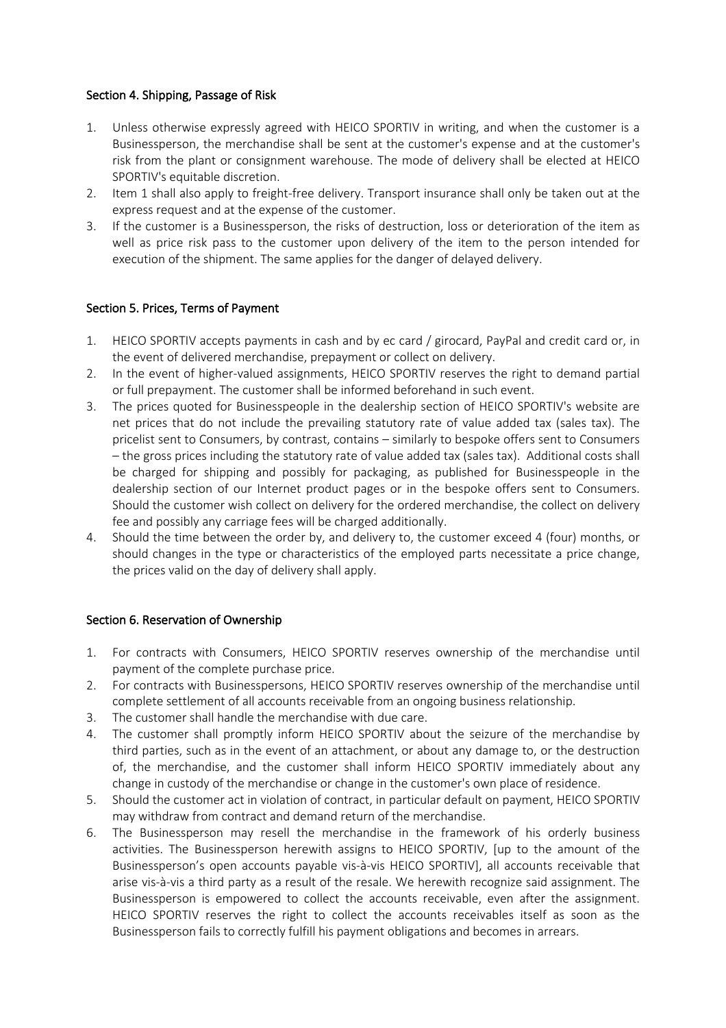### Section 4. Shipping, Passage of Risk

- 1. Unless otherwise expressly agreed with HEICO SPORTIV in writing, and when the customer is a Businessperson, the merchandise shall be sent at the customer's expense and at the customer's risk from the plant or consignment warehouse. The mode of delivery shall be elected at HEICO SPORTIV's equitable discretion.
- 2. Item 1 shall also apply to freight-free delivery. Transport insurance shall only be taken out at the express request and at the expense of the customer.
- 3. If the customer is a Businessperson, the risks of destruction, loss or deterioration of the item as well as price risk pass to the customer upon delivery of the item to the person intended for execution of the shipment. The same applies for the danger of delayed delivery.

### Section 5. Prices, Terms of Payment

- 1. HEICO SPORTIV accepts payments in cash and by ec card / girocard, PayPal and credit card or, in the event of delivered merchandise, prepayment or collect on delivery.
- 2. In the event of higher-valued assignments, HEICO SPORTIV reserves the right to demand partial or full prepayment. The customer shall be informed beforehand in such event.
- 3. The prices quoted for Businesspeople in the dealership section of HEICO SPORTIV's website are net prices that do not include the prevailing statutory rate of value added tax (sales tax). The pricelist sent to Consumers, by contrast, contains – similarly to bespoke offers sent to Consumers – the gross prices including the statutory rate of value added tax (sales tax). Additional costs shall be charged for shipping and possibly for packaging, as published for Businesspeople in the dealership section of our Internet product pages or in the bespoke offers sent to Consumers. Should the customer wish collect on delivery for the ordered merchandise, the collect on delivery fee and possibly any carriage fees will be charged additionally.
- 4. Should the time between the order by, and delivery to, the customer exceed 4 (four) months, or should changes in the type or characteristics of the employed parts necessitate a price change, the prices valid on the day of delivery shall apply.

#### Section 6. Reservation of Ownership

- 1. For contracts with Consumers, HEICO SPORTIV reserves ownership of the merchandise until payment of the complete purchase price.
- 2. For contracts with Businesspersons, HEICO SPORTIV reserves ownership of the merchandise until complete settlement of all accounts receivable from an ongoing business relationship.
- 3. The customer shall handle the merchandise with due care.
- 4. The customer shall promptly inform HEICO SPORTIV about the seizure of the merchandise by third parties, such as in the event of an attachment, or about any damage to, or the destruction of, the merchandise, and the customer shall inform HEICO SPORTIV immediately about any change in custody of the merchandise or change in the customer's own place of residence.
- 5. Should the customer act in violation of contract, in particular default on payment, HEICO SPORTIV may withdraw from contract and demand return of the merchandise.
- 6. The Businessperson may resell the merchandise in the framework of his orderly business activities. The Businessperson herewith assigns to HEICO SPORTIV, [up to the amount of the Businessperson's open accounts payable vis-à-vis HEICO SPORTIV], all accounts receivable that arise vis-à-vis a third party as a result of the resale. We herewith recognize said assignment. The Businessperson is empowered to collect the accounts receivable, even after the assignment. HEICO SPORTIV reserves the right to collect the accounts receivables itself as soon as the Businessperson fails to correctly fulfill his payment obligations and becomes in arrears.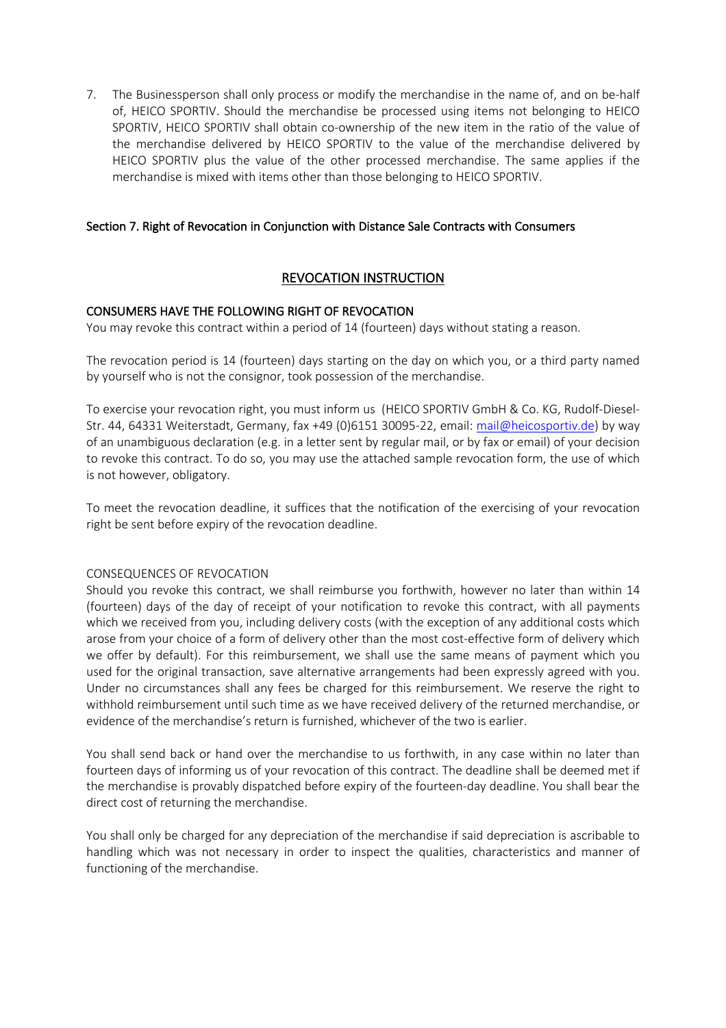7. The Businessperson shall only process or modify the merchandise in the name of, and on be-half of, HEICO SPORTIV. Should the merchandise be processed using items not belonging to HEICO SPORTIV, HEICO SPORTIV shall obtain co-ownership of the new item in the ratio of the value of the merchandise delivered by HEICO SPORTIV to the value of the merchandise delivered by HEICO SPORTIV plus the value of the other processed merchandise. The same applies if the merchandise is mixed with items other than those belonging to HEICO SPORTIV.

### Section 7. Right of Revocation in Conjunction with Distance Sale Contracts with Consumers

# REVOCATION INSTRUCTION

### CONSUMERS HAVE THE FOLLOWING RIGHT OF REVOCATION

You may revoke this contract within a period of 14 (fourteen) days without stating a reason.

The revocation period is 14 (fourteen) days starting on the day on which you, or a third party named by yourself who is not the consignor, took possession of the merchandise.

To exercise your revocation right, you must inform us (HEICO SPORTIV GmbH & Co. KG, Rudolf-Diesel-Str. 44, 64331 Weiterstadt, Germany, fax +49 (0)6151 30095-22, email: mail@heicosportiv.de) by way of an unambiguous declaration (e.g. in a letter sent by regular mail, or by fax or email) of your decision to revoke this contract. To do so, you may use the attached sample revocation form, the use of which is not however, obligatory.

To meet the revocation deadline, it suffices that the notification of the exercising of your revocation right be sent before expiry of the revocation deadline.

#### CONSEQUENCES OF REVOCATION

Should you revoke this contract, we shall reimburse you forthwith, however no later than within 14 (fourteen) days of the day of receipt of your notification to revoke this contract, with all payments which we received from you, including delivery costs (with the exception of any additional costs which arose from your choice of a form of delivery other than the most cost-effective form of delivery which we offer by default). For this reimbursement, we shall use the same means of payment which you used for the original transaction, save alternative arrangements had been expressly agreed with you. Under no circumstances shall any fees be charged for this reimbursement. We reserve the right to withhold reimbursement until such time as we have received delivery of the returned merchandise, or evidence of the merchandise's return is furnished, whichever of the two is earlier.

You shall send back or hand over the merchandise to us forthwith, in any case within no later than fourteen days of informing us of your revocation of this contract. The deadline shall be deemed met if the merchandise is provably dispatched before expiry of the fourteen-day deadline. You shall bear the direct cost of returning the merchandise.

You shall only be charged for any depreciation of the merchandise if said depreciation is ascribable to handling which was not necessary in order to inspect the qualities, characteristics and manner of functioning of the merchandise.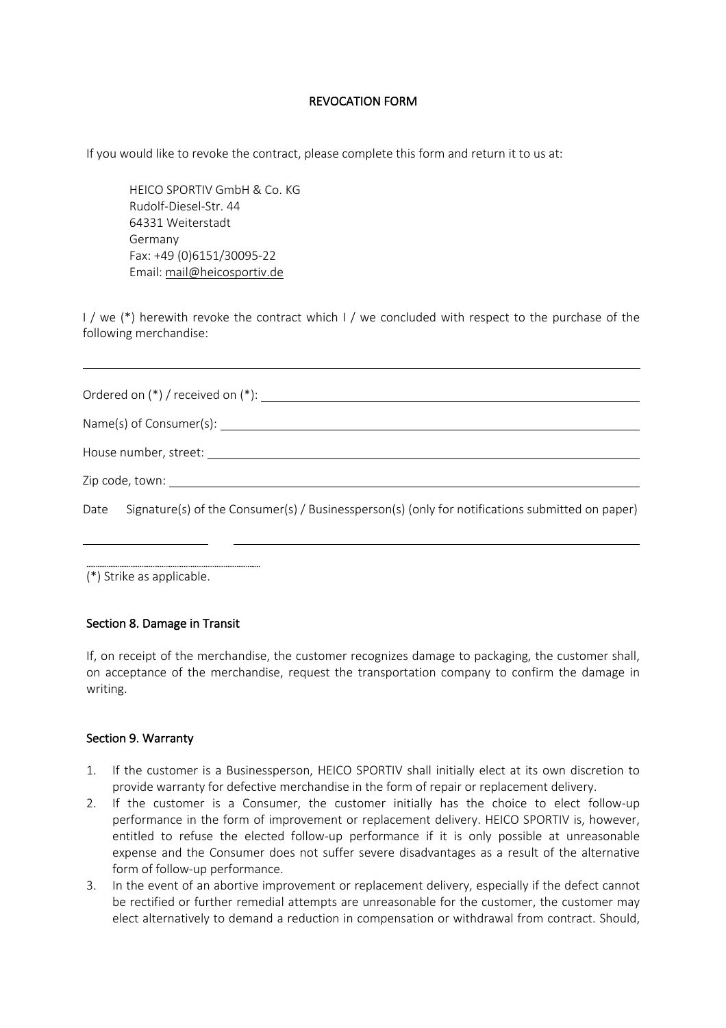### REVOCATION FORM

If you would like to revoke the contract, please complete this form and return it to us at:

HEICO SPORTIV GmbH & Co. KG Rudolf-Diesel-Str. 44 64331 Weiterstadt Germany Fax: +49 (0)6151/30095-22 Email: mail@heicosportiv.de

I / we (\*) herewith revoke the contract which I / we concluded with respect to the purchase of the following merchandise:

|  | Date Signature(s) of the Consumer(s) / Businessperson(s) (only for notifications submitted on paper) |
|--|------------------------------------------------------------------------------------------------------|
|  |                                                                                                      |

(\*) Strike as applicable.

#### Section 8. Damage in Transit

If, on receipt of the merchandise, the customer recognizes damage to packaging, the customer shall, on acceptance of the merchandise, request the transportation company to confirm the damage in writing.

#### Section 9. Warranty

- 1. If the customer is a Businessperson, HEICO SPORTIV shall initially elect at its own discretion to provide warranty for defective merchandise in the form of repair or replacement delivery.
- 2. If the customer is a Consumer, the customer initially has the choice to elect follow-up performance in the form of improvement or replacement delivery. HEICO SPORTIV is, however, entitled to refuse the elected follow-up performance if it is only possible at unreasonable expense and the Consumer does not suffer severe disadvantages as a result of the alternative form of follow-up performance.
- 3. In the event of an abortive improvement or replacement delivery, especially if the defect cannot be rectified or further remedial attempts are unreasonable for the customer, the customer may elect alternatively to demand a reduction in compensation or withdrawal from contract. Should,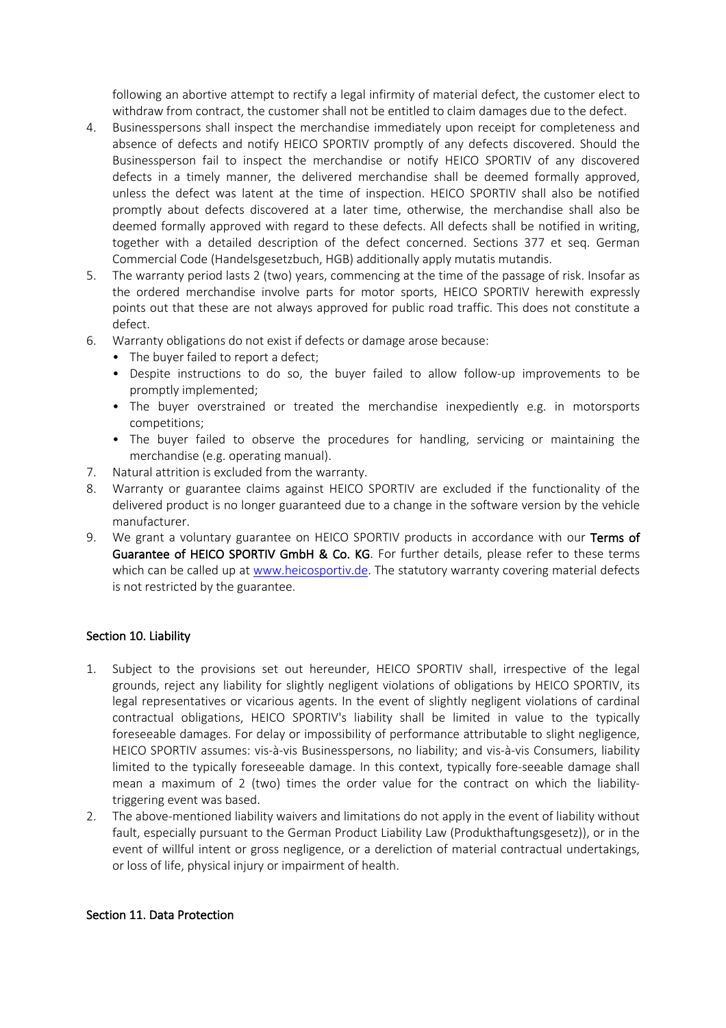following an abortive attempt to rectify a legal infirmity of material defect, the customer elect to withdraw from contract, the customer shall not be entitled to claim damages due to the defect.

- 4. Businesspersons shall inspect the merchandise immediately upon receipt for completeness and absence of defects and notify HEICO SPORTIV promptly of any defects discovered. Should the Businessperson fail to inspect the merchandise or notify HEICO SPORTIV of any discovered defects in a timely manner, the delivered merchandise shall be deemed formally approved, unless the defect was latent at the time of inspection. HEICO SPORTIV shall also be notified promptly about defects discovered at a later time, otherwise, the merchandise shall also be deemed formally approved with regard to these defects. All defects shall be notified in writing, together with a detailed description of the defect concerned. Sections 377 et seq. German Commercial Code (Handelsgesetzbuch, HGB) additionally apply mutatis mutandis.
- 5. The warranty period lasts 2 (two) years, commencing at the time of the passage of risk. Insofar as the ordered merchandise involve parts for motor sports, HEICO SPORTIV herewith expressly points out that these are not always approved for public road traffic. This does not constitute a defect.
- 6. Warranty obligations do not exist if defects or damage arose because:
	- The buyer failed to report a defect;
	- Despite instructions to do so, the buyer failed to allow follow-up improvements to be promptly implemented;
	- The buyer overstrained or treated the merchandise inexpediently e.g. in motorsports competitions;
	- The buyer failed to observe the procedures for handling, servicing or maintaining the merchandise (e.g. operating manual).
- 7. Natural attrition is excluded from the warranty.
- 8. Warranty or guarantee claims against HEICO SPORTIV are excluded if the functionality of the delivered product is no longer guaranteed due to a change in the software version by the vehicle manufacturer.
- 9. We grant a voluntary guarantee on HEICO SPORTIV products in accordance with our Terms of Guarantee of HEICO SPORTIV GmbH & Co. KG. For further details, please refer to these terms which can be called up at www.heicosportiv.de. The statutory warranty covering material defects is not restricted by the guarantee.

#### Section 10. Liability

- 1. Subject to the provisions set out hereunder, HEICO SPORTIV shall, irrespective of the legal grounds, reject any liability for slightly negligent violations of obligations by HEICO SPORTIV, its legal representatives or vicarious agents. In the event of slightly negligent violations of cardinal contractual obligations, HEICO SPORTIV's liability shall be limited in value to the typically foreseeable damages. For delay or impossibility of performance attributable to slight negligence, HEICO SPORTIV assumes: vis-à-vis Businesspersons, no liability; and vis-à-vis Consumers, liability limited to the typically foreseeable damage. In this context, typically fore-seeable damage shall mean a maximum of 2 (two) times the order value for the contract on which the liabilitytriggering event was based.
- 2. The above-mentioned liability waivers and limitations do not apply in the event of liability without fault, especially pursuant to the German Product Liability Law (Produkthaftungsgesetz)), or in the event of willful intent or gross negligence, or a dereliction of material contractual undertakings, or loss of life, physical injury or impairment of health.

#### Section 11. Data Protection